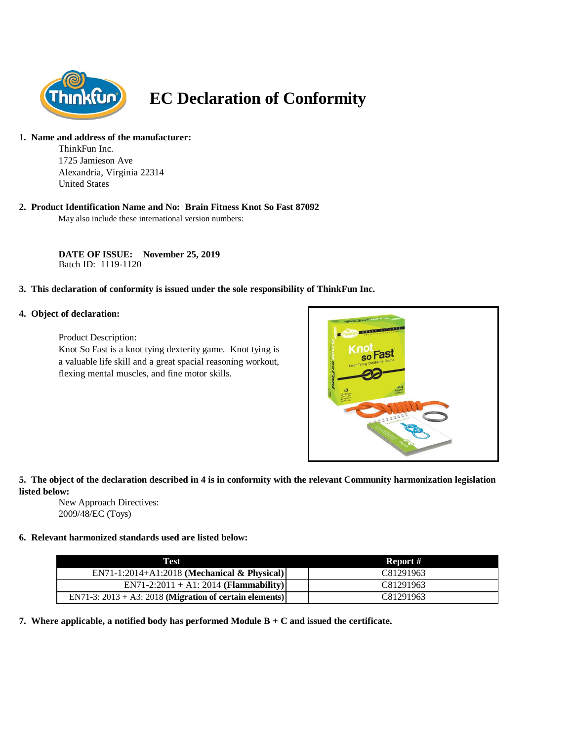

# **EC Declaration of Conformity**

#### **1. Name and address of the manufacturer:**

ThinkFun Inc. 1725 Jamieson Ave Alexandria, Virginia 22314 United States

#### **2. Product Identification Name and No: Brain Fitness Knot So Fast 87092**

May also include these international version numbers:

**DATE OF ISSUE: November 25, 2019** Batch ID: 1119-1120

## **3. This declaration of conformity is issued under the sole responsibility of ThinkFun Inc.**

#### **4. Object of declaration:**

Product Description:

Knot So Fast is a knot tying dexterity game. Knot tying is a valuable life skill and a great spacial reasoning workout, flexing mental muscles, and fine motor skills.



## **5. The object of the declaration described in 4 is in conformity with the relevant Community harmonization legislation listed below:**

New Approach Directives: 2009/48/EC (Toys)

## **6. Relevant harmonized standards used are listed below:**

| Test                                                       | Report #  |
|------------------------------------------------------------|-----------|
| $EN71-1:2014+A1:2018$ (Mechanical & Physical)              | C81291963 |
| $EN71-2:2011 + A1:2014 (Flammablity)$                      | C81291963 |
| EN71-3: $2013 + A3$ : 2018 (Migration of certain elements) | C81291963 |

**7. Where applicable, a notified body has performed Module B + C and issued the certificate.**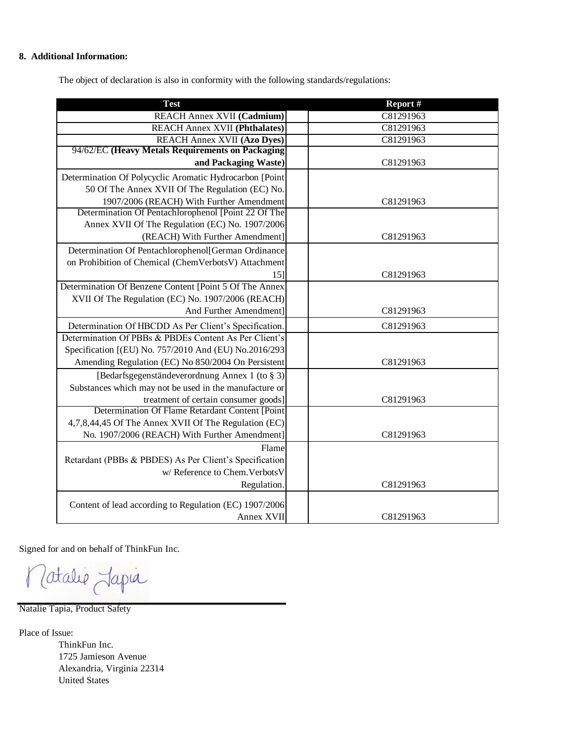### **8. Additional Information:**

The object of declaration is also in conformity with the following standards/regulations:

| <b>Test</b>                                              | Report#   |
|----------------------------------------------------------|-----------|
| <b>REACH Annex XVII (Cadmium)</b>                        | C81291963 |
| <b>REACH Annex XVII (Phthalates)</b>                     | C81291963 |
| <b>REACH Annex XVII (Azo Dyes)</b>                       | C81291963 |
| 94/62/EC (Heavy Metals Requirements on Packaging         |           |
| and Packaging Waste)                                     | C81291963 |
| Determination Of Polycyclic Aromatic Hydrocarbon [Point] |           |
| 50 Of The Annex XVII Of The Regulation (EC) No.          |           |
| 1907/2006 (REACH) With Further Amendment                 | C81291963 |
| Determination Of Pentachlorophenol [Point 22 Of The      |           |
| Annex XVII Of The Regulation (EC) No. 1907/2006          |           |
| (REACH) With Further Amendment]                          | C81291963 |
| Determination Of Pentachlorophenol[German Ordinance      |           |
| on Prohibition of Chemical (ChemVerbotsV) Attachment     |           |
| 15]                                                      | C81291963 |
| Determination Of Benzene Content [Point 5 Of The Annex   |           |
| XVII Of The Regulation (EC) No. 1907/2006 (REACH)        |           |
| And Further Amendment]                                   | C81291963 |
| Determination Of HBCDD As Per Client's Specification.    | C81291963 |
| Determination Of PBBs & PBDEs Content As Per Client's    |           |
| Specification [(EU) No. 757/2010 And (EU) No.2016/293    |           |
| Amending Regulation (EC) No 850/2004 On Persistent       | C81291963 |
| [Bedarfsgegenständeverordnung Annex 1 (to § 3)]          |           |
| Substances which may not be used in the manufacture or   |           |
| treatment of certain consumer goods]                     | C81291963 |
| Determination Of Flame Retardant Content [Point          |           |
| 4,7,8,44,45 Of The Annex XVII Of The Regulation (EC)     |           |
| No. 1907/2006 (REACH) With Further Amendment]            | C81291963 |
| Flame                                                    |           |
| Retardant (PBBs & PBDES) As Per Client's Specification   |           |
| w/ Reference to Chem. Verbots V                          |           |
| Regulation.                                              | C81291963 |
| Content of lead according to Regulation (EC) 1907/2006   |           |
| Annex XVII                                               | C81291963 |
|                                                          |           |

Signed for and on behalf of ThinkFun Inc.

latalie Japia  $\bigg($ 

Natalie Tapia, Product Safety

Place of Issue:

ThinkFun Inc. 1725 Jamieson Avenue Alexandria, Virginia 22314 United States